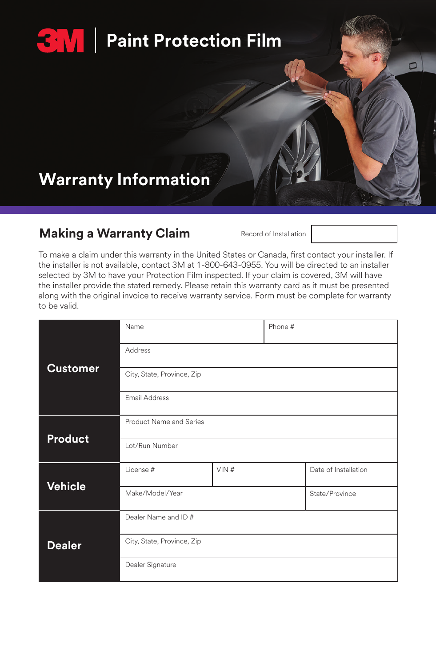# **Paint Protection Film**

### **Warranty Information**

### **Making a Warranty Claim** Record of Installation



| <b>Customer</b> | Name                       |      | Phone # |                      |
|-----------------|----------------------------|------|---------|----------------------|
|                 | Address                    |      |         |                      |
|                 | City, State, Province, Zip |      |         |                      |
|                 | Email Address              |      |         |                      |
| Product         | Product Name and Series    |      |         |                      |
|                 | Lot/Run Number             |      |         |                      |
| <b>Vehicle</b>  | License #                  | VIN# |         | Date of Installation |
|                 | Make/Model/Year            |      |         | State/Province       |
| <b>Dealer</b>   | Dealer Name and ID#        |      |         |                      |
|                 | City, State, Province, Zip |      |         |                      |
|                 | Dealer Signature           |      |         |                      |